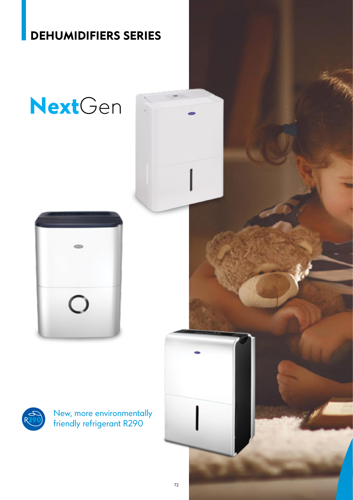### **DEHUMIDIFIERS SERIES**

# **Next**Gen





New, more environmentally friendly refrigerant R290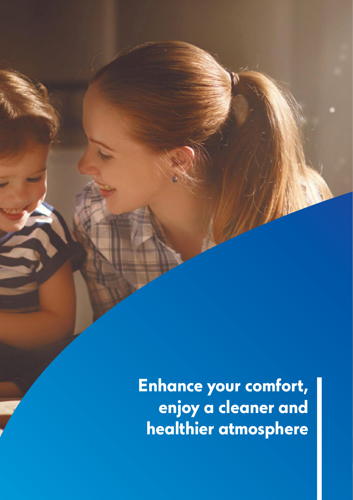**Enhance your comfort, enjoy a cleaner and healthier atmosphere**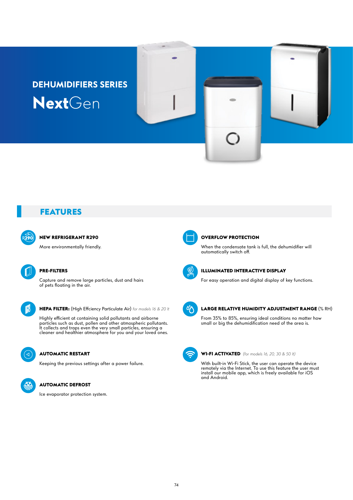## **DEHUMIDIFIERS SERIES Next**Gen

#### **FEATURES**

#### **NEW REFRIGERANT R290**

More environmentally friendly.

#### **PRE-FILTERS**

Capture and remove large particles, dust and hairs of pets floating in the air.

**HEPA FILTER:** (High Effciency Particulate Air) *for models 16 & 20 lt*

Highly efficient at containing solid pollutants and airborne particles such as dust, pollen and other atmospheric pollutants. It collects and traps even the very small particles, ensuring a cleaner and healthier atmosphere for you and your loved ones.



#### **AUTOMATIC RESTART**

Keeping the previous settings after a power failure.

#### **AUTOMATIC DEFROST**

Ice evaporator protection system.



#### **OVERFLOW PROTECTION**

When the condensate tank is full, the dehumidifier will automatically switch off.



#### **ILLUMINATED INTERACTIVE DISPLAY**

For easy operation and digital display of key functions.



#### **LARGE RELATIVE HUMIDITY ADJUSTMENT RANGE** (% RH)

From 35% to 85%, ensuring ideal conditions no matter how small or big the dehumidification need of the area is.



#### **WI-FI ACTIVATED** *(for models 16, 20, 30 & 50 lt)*

With built-in Wi-Fi Stick, the user can operate the device remotely via the Internet. To use this feature the user must install our mobile app, which is freely available for iOS and Android.